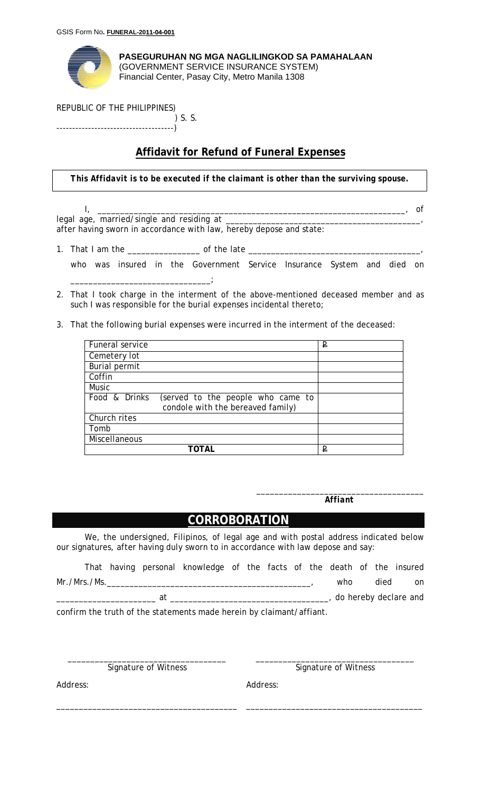

**PASEGURUHAN NG MGA NAGLILINGKOD SA PAMAHALAAN** (GOVERNMENT SERVICE INSURANCE SYSTEM) Financial Center, Pasay City, Metro Manila 1308

## REPUBLIC OF THE PHILIPPINES)

 ) S. S. -------------------------------------)

## **Affidavit for Refund of Funeral Expenses**

*This Affidavit is to be executed if the claimant is other than the surviving spouse.*

I, \_\_\_\_\_\_\_\_\_\_\_\_\_\_\_\_\_\_\_\_\_\_\_\_\_\_\_\_\_\_\_\_\_\_\_\_\_\_\_\_\_\_\_\_\_\_\_\_\_\_\_\_\_\_\_\_\_\_\_\_\_\_\_\_\_\_\_\_, of legal age, married/single and residing at \_\_\_\_\_\_\_\_\_\_\_\_\_\_\_\_\_\_\_\_\_\_\_\_\_\_\_\_\_\_\_\_\_\_\_\_\_\_\_\_\_\_\_, after having sworn in accordance with law, hereby depose and state:

- 1. That I am the \_\_\_\_\_\_\_\_\_\_\_\_\_\_\_\_ of the late \_\_\_\_\_\_\_\_\_\_\_\_\_\_\_\_\_\_\_\_\_\_\_\_\_\_\_\_\_\_\_\_\_\_\_\_\_\_,
	- who was insured in the Government Service Insurance System and died on \_\_\_\_\_\_\_\_\_\_\_\_\_\_\_\_\_\_\_\_\_\_\_\_\_\_\_\_\_\_\_;
- 2. That I took charge in the interment of the above-mentioned deceased member and as such I was responsible for the burial expenses incidental thereto;
- 3. That the following burial expenses were incurred in the interment of the deceased:

| Funeral service                                                                         | ₽ |
|-----------------------------------------------------------------------------------------|---|
| Cemetery lot                                                                            |   |
| <b>Burial permit</b>                                                                    |   |
| Coffin                                                                                  |   |
| <b>Music</b>                                                                            |   |
| Food & Drinks<br>(served to the people who came to<br>condole with the bereaved family) |   |
| Church rites                                                                            |   |
| Tomb                                                                                    |   |
| Miscellaneous                                                                           |   |
|                                                                                         | ₽ |

\_\_\_\_\_\_\_\_\_\_\_\_\_\_\_\_\_\_\_\_\_\_\_\_\_\_\_\_\_\_\_\_\_\_\_\_\_ *Affiant* 

## **CORROBORATION**

We, the undersigned, Filipinos, of legal age and with postal address indicated below our signatures, after having duly sworn to in accordance with law depose and say:

|              |    | That having personal knowledge of the facts of the death of the insured |  |  |     |      |                       |
|--------------|----|-------------------------------------------------------------------------|--|--|-----|------|-----------------------|
| Mr./Mrs./Ms. |    |                                                                         |  |  | who | died | on                    |
|              | at |                                                                         |  |  |     |      | do hereby declare and |

confirm the truth of the statements made herein by claimant/affiant.

\_\_\_\_\_\_\_\_\_\_\_\_\_\_\_\_\_\_\_\_\_\_\_\_\_\_\_\_\_\_\_\_\_\_\_ Signature of Witness

\_\_\_\_\_\_\_\_\_\_\_\_\_\_\_\_\_\_\_\_\_\_\_\_\_\_\_\_\_\_\_\_\_\_\_\_\_\_\_\_

\_\_\_\_\_\_\_\_\_\_\_\_\_\_\_\_\_\_\_\_\_\_\_\_\_\_\_\_\_\_\_\_\_\_\_ Signature of Witness

\_\_\_\_\_\_\_\_\_\_\_\_\_\_\_\_\_\_\_\_\_\_\_\_\_\_\_\_\_\_\_\_\_\_\_\_\_\_\_

Address:

Address: